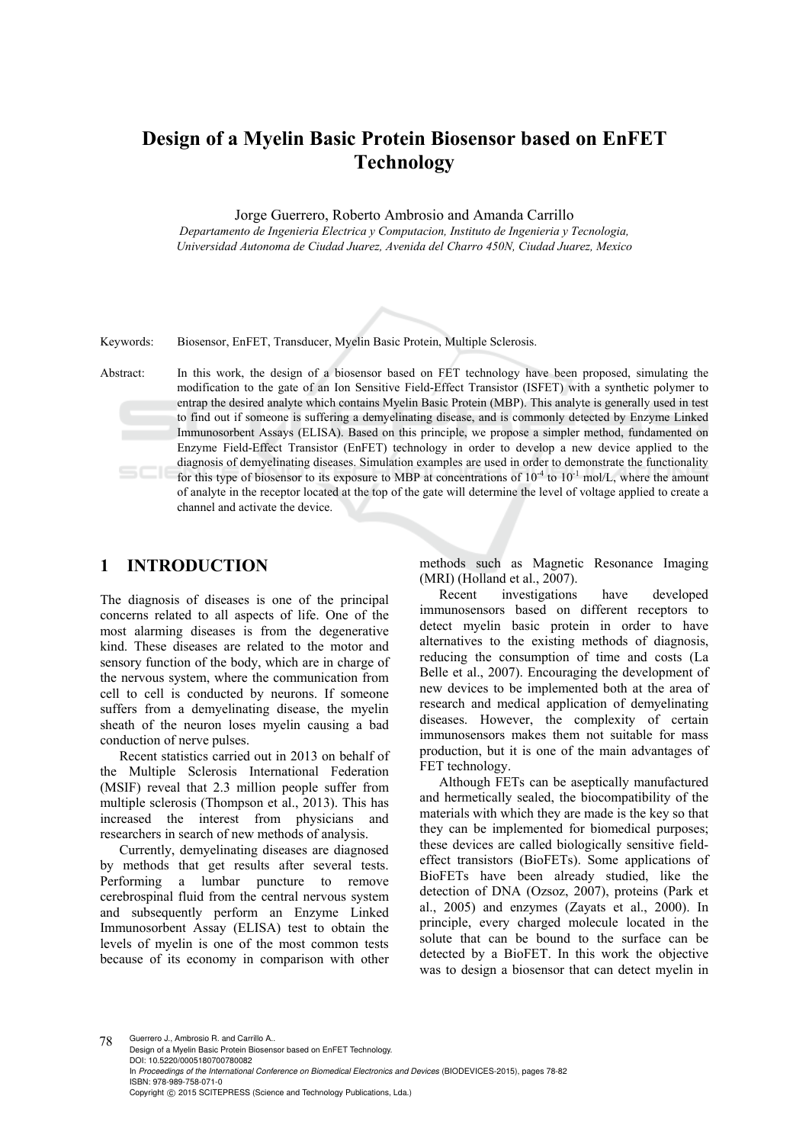# **Design of a Myelin Basic Protein Biosensor based on EnFET Technology**

Jorge Guerrero, Roberto Ambrosio and Amanda Carrillo

*Departamento de Ingenieria Electrica y Computacion, Instituto de Ingenieria y Tecnologia, Universidad Autonoma de Ciudad Juarez, Avenida del Charro 450N, Ciudad Juarez, Mexico* 

Keywords: Biosensor, EnFET, Transducer, Myelin Basic Protein, Multiple Sclerosis.

Abstract: In this work, the design of a biosensor based on FET technology have been proposed, simulating the modification to the gate of an Ion Sensitive Field-Effect Transistor (ISFET) with a synthetic polymer to entrap the desired analyte which contains Myelin Basic Protein (MBP). This analyte is generally used in test to find out if someone is suffering a demyelinating disease, and is commonly detected by Enzyme Linked Immunosorbent Assays (ELISA). Based on this principle, we propose a simpler method, fundamented on Enzyme Field-Effect Transistor (EnFET) technology in order to develop a new device applied to the diagnosis of demyelinating diseases. Simulation examples are used in order to demonstrate the functionality for this type of biosensor to its exposure to MBP at concentrations of  $10^{-4}$  to  $10^{-1}$  mol/L, where the amount of analyte in the receptor located at the top of the gate will determine the level of voltage applied to create a channel and activate the device.

## **1 INTRODUCTION**

The diagnosis of diseases is one of the principal concerns related to all aspects of life. One of the most alarming diseases is from the degenerative kind. These diseases are related to the motor and sensory function of the body, which are in charge of the nervous system, where the communication from cell to cell is conducted by neurons. If someone suffers from a demyelinating disease, the myelin sheath of the neuron loses myelin causing a bad conduction of nerve pulses.

Recent statistics carried out in 2013 on behalf of the Multiple Sclerosis International Federation (MSIF) reveal that 2.3 million people suffer from multiple sclerosis (Thompson et al., 2013). This has increased the interest from physicians and researchers in search of new methods of analysis.

Currently, demyelinating diseases are diagnosed by methods that get results after several tests. Performing a lumbar puncture to remove cerebrospinal fluid from the central nervous system and subsequently perform an Enzyme Linked Immunosorbent Assay (ELISA) test to obtain the levels of myelin is one of the most common tests because of its economy in comparison with other methods such as Magnetic Resonance Imaging (MRI) (Holland et al., 2007).

Recent investigations have developed immunosensors based on different receptors to detect myelin basic protein in order to have alternatives to the existing methods of diagnosis, reducing the consumption of time and costs (La Belle et al., 2007). Encouraging the development of new devices to be implemented both at the area of research and medical application of demyelinating diseases. However, the complexity of certain immunosensors makes them not suitable for mass production, but it is one of the main advantages of FET technology.

Although FETs can be aseptically manufactured and hermetically sealed, the biocompatibility of the materials with which they are made is the key so that they can be implemented for biomedical purposes; these devices are called biologically sensitive fieldeffect transistors (BioFETs). Some applications of BioFETs have been already studied, like the detection of DNA (Ozsoz, 2007), proteins (Park et al., 2005) and enzymes (Zayats et al., 2000). In principle, every charged molecule located in the solute that can be bound to the surface can be detected by a BioFET. In this work the objective was to design a biosensor that can detect myelin in

78 Guerrero J., Ambrosio R. and Carrillo A.. Design of a Myelin Basic Protein Biosensor based on EnFET Technology. DOI: 10.5220/0005180700780082 In *Proceedings of the International Conference on Biomedical Electronics and Devices* (BIODEVICES-2015), pages 78-82 ISBN: 978-989-758-071-0 Copyright © 2015 SCITEPRESS (Science and Technology Publications, Lda.)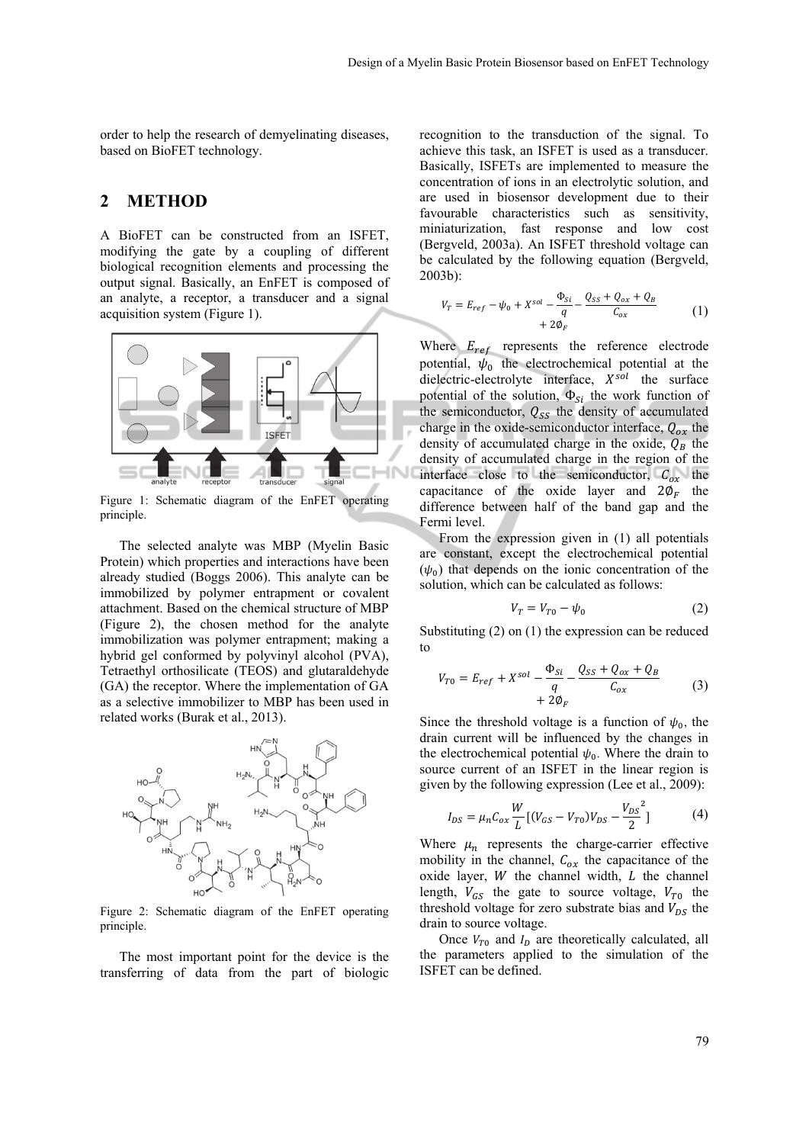order to help the research of demyelinating diseases, based on BioFET technology.

### **2 METHOD**

A BioFET can be constructed from an ISFET, modifying the gate by a coupling of different biological recognition elements and processing the output signal. Basically, an EnFET is composed of an analyte, a receptor, a transducer and a signal acquisition system (Figure 1).



Figure 1: Schematic diagram of the EnFET operating principle.

The selected analyte was MBP (Myelin Basic Protein) which properties and interactions have been already studied (Boggs 2006). This analyte can be immobilized by polymer entrapment or covalent attachment. Based on the chemical structure of MBP (Figure 2), the chosen method for the analyte immobilization was polymer entrapment; making a hybrid gel conformed by polyvinyl alcohol (PVA), Tetraethyl orthosilicate (TEOS) and glutaraldehyde (GA) the receptor. Where the implementation of GA as a selective immobilizer to MBP has been used in related works (Burak et al., 2013).



Figure 2: Schematic diagram of the EnFET operating principle.

The most important point for the device is the transferring of data from the part of biologic

recognition to the transduction of the signal. To achieve this task, an ISFET is used as a transducer. Basically, ISFETs are implemented to measure the concentration of ions in an electrolytic solution, and are used in biosensor development due to their favourable characteristics such as sensitivity, miniaturization, fast response and low cost (Bergveld, 2003a). An ISFET threshold voltage can be calculated by the following equation (Bergveld, 2003b):

$$
V_T = E_{ref} - \psi_0 + X^{sol} - \frac{\Phi_{Si}}{q} - \frac{Q_{SS} + Q_{ox} + Q_B}{C_{ox}}
$$
  
+ 2\Phi\_F (1)

Where  $E_{ref}$  represents the reference electrode potential,  $\psi_0$  the electrochemical potential at the dielectric-electrolyte interface,  $X^{sol}$  the surface potential of the solution,  $\Phi_{Si}$  the work function of the semiconductor,  $Q_{SS}$  the density of accumulated charge in the oxide-semiconductor interface,  $Q_{ox}$  the density of accumulated charge in the oxide,  $Q_B$  the density of accumulated charge in the region of the interface close to the semiconductor,  $C_{\alpha x}$  the capacitance of the oxide layer and  $2\phi_F$  the difference between half of the band gap and the Fermi level.

From the expression given in (1) all potentials are constant, except the electrochemical potential  $(\psi_0)$  that depends on the ionic concentration of the solution, which can be calculated as follows:

$$
V_T = V_{T0} - \psi_0 \tag{2}
$$

Substituting (2) on (1) the expression can be reduced to

$$
V_{T0} = E_{ref} + X^{sol} - \frac{\Phi_{Si}}{q} - \frac{Q_{SS} + Q_{ox} + Q_B}{C_{ox}}
$$
  
+ 2\Phi\_F (3)

Since the threshold voltage is a function of  $\psi_0$ , the drain current will be influenced by the changes in the electrochemical potential  $\psi_0$ . Where the drain to source current of an ISFET in the linear region is given by the following expression (Lee et al., 2009):

$$
I_{DS} = \mu_n C_{ox} \frac{W}{L} [(V_{GS} - V_{T0}) V_{DS} - \frac{V_{DS}^2}{2}] \tag{4}
$$

Where  $\mu_n$  represents the charge-carrier effective mobility in the channel,  $C_{ox}$  the capacitance of the oxide layer,  $W$  the channel width,  $L$  the channel length,  $V_{GS}$  the gate to source voltage,  $V_{T0}$  the threshold voltage for zero substrate bias and  $V_{DS}$  the drain to source voltage.

Once  $V_{T0}$  and  $I_D$  are theoretically calculated, all the parameters applied to the simulation of the ISFET can be defined.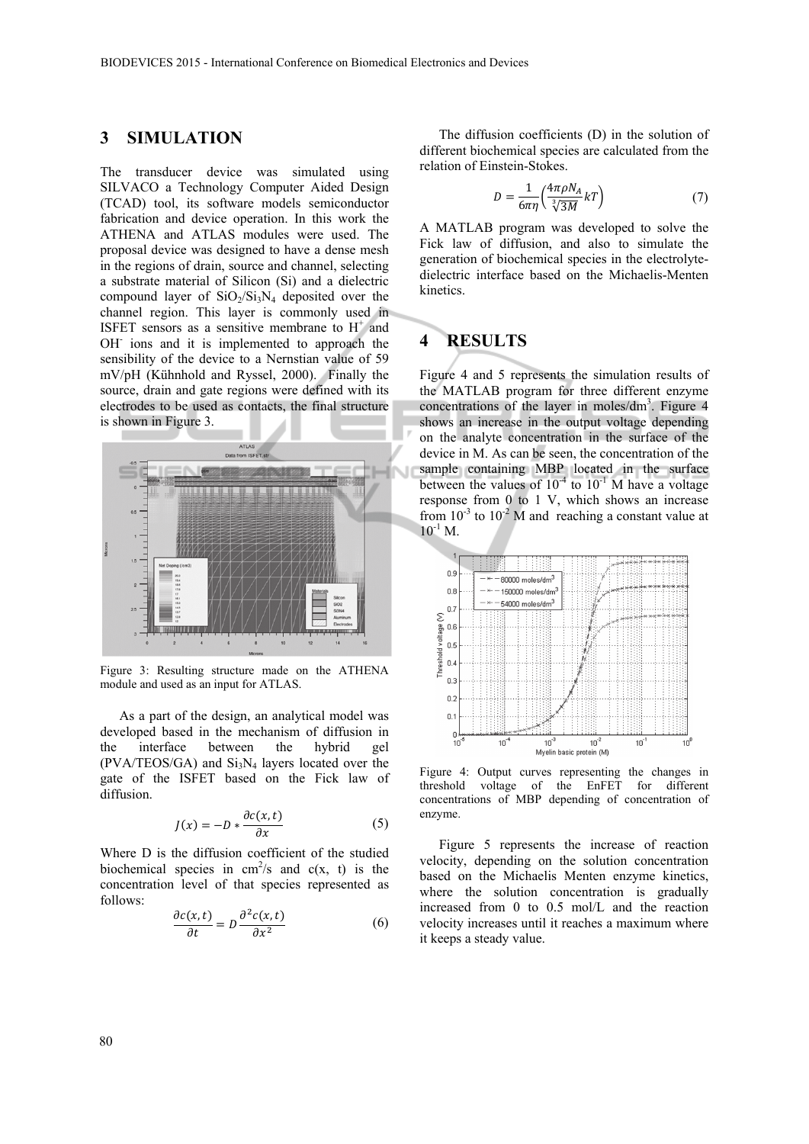#### **3 SIMULATION**

The transducer device was simulated using SILVACO a Technology Computer Aided Design (TCAD) tool, its software models semiconductor fabrication and device operation. In this work the ATHENA and ATLAS modules were used. The proposal device was designed to have a dense mesh in the regions of drain, source and channel, selecting a substrate material of Silicon (Si) and a dielectric compound layer of  $SiO<sub>2</sub>/Si<sub>3</sub>N<sub>4</sub>$  deposited over the channel region. This layer is commonly used in ISFET sensors as a sensitive membrane to  $H^+$  and OH<sup>-</sup> ions and it is implemented to approach the sensibility of the device to a Nernstian value of 59 mV/pH (Kühnhold and Ryssel, 2000). Finally the source, drain and gate regions were defined with its electrodes to be used as contacts, the final structure is shown in Figure 3.



Figure 3: Resulting structure made on the ATHENA module and used as an input for ATLAS.

As a part of the design, an analytical model was developed based in the mechanism of diffusion in the interface between the hybrid gel  $(PVA/TEOS/GA)$  and  $Si<sub>3</sub>N<sub>4</sub>$  layers located over the gate of the ISFET based on the Fick law of diffusion.

$$
J(x) = -D * \frac{\partial c(x, t)}{\partial x} \tag{5}
$$

Where D is the diffusion coefficient of the studied biochemical species in  $cm^2/s$  and  $c(x, t)$  is the concentration level of that species represented as follows:

$$
\frac{\partial c(x,t)}{\partial t} = D \frac{\partial^2 c(x,t)}{\partial x^2}
$$
 (6)

The diffusion coefficients (D) in the solution of different biochemical species are calculated from the relation of Einstein-Stokes.

$$
D = \frac{1}{6\pi\eta} \left( \frac{4\pi\rho N_A}{\sqrt[3]{3M}} kT \right) \tag{7}
$$

A MATLAB program was developed to solve the Fick law of diffusion, and also to simulate the generation of biochemical species in the electrolytedielectric interface based on the Michaelis-Menten kinetics.

# **4 RESULTS**

Figure 4 and 5 represents the simulation results of the MATLAB program for three different enzyme concentrations of the layer in moles/ $dm<sup>3</sup>$ . Figure 4 shows an increase in the output voltage depending on the analyte concentration in the surface of the device in M. As can be seen, the concentration of the sample containing MBP located in the surface between the values of  $10^{-4}$  to  $10^{-1}$  M have a voltage response from 0 to 1 V, which shows an increase from  $10^{-3}$  to  $10^{-2}$  M and reaching a constant value at  $10^{-1}$  M.



Figure 4: Output curves representing the changes in threshold voltage of the EnFET for different concentrations of MBP depending of concentration of enzyme.

Figure 5 represents the increase of reaction velocity, depending on the solution concentration based on the Michaelis Menten enzyme kinetics, where the solution concentration is gradually increased from 0 to 0.5 mol/L and the reaction velocity increases until it reaches a maximum where it keeps a steady value.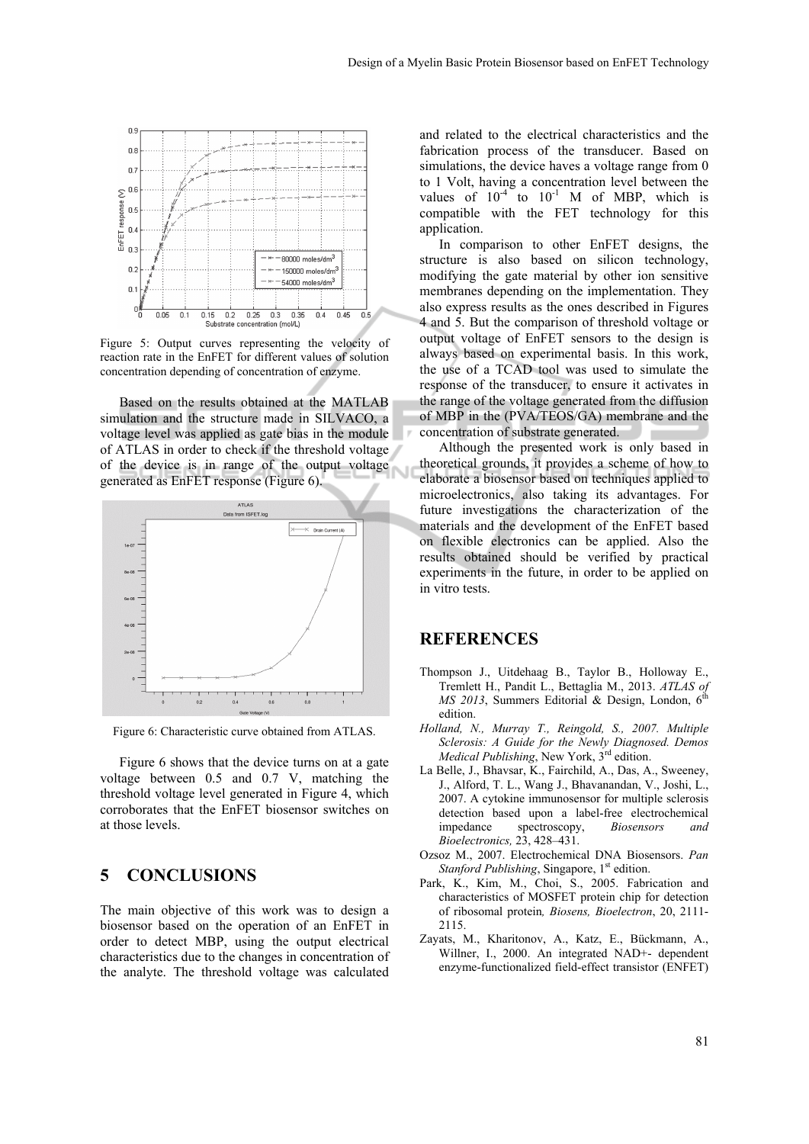

Figure 5: Output curves representing the velocity of reaction rate in the EnFET for different values of solution concentration depending of concentration of enzyme.

Based on the results obtained at the MATLAB simulation and the structure made in SILVACO, a voltage level was applied as gate bias in the module of ATLAS in order to check if the threshold voltage of the device is in range of the output voltage generated as EnFET response (Figure 6).



Figure 6: Characteristic curve obtained from ATLAS.

Figure 6 shows that the device turns on at a gate voltage between 0.5 and 0.7 V, matching the threshold voltage level generated in Figure 4, which corroborates that the EnFET biosensor switches on at those levels.

#### **5 CONCLUSIONS**

The main objective of this work was to design a biosensor based on the operation of an EnFET in order to detect MBP, using the output electrical characteristics due to the changes in concentration of the analyte. The threshold voltage was calculated

and related to the electrical characteristics and the fabrication process of the transducer. Based on simulations, the device haves a voltage range from 0 to 1 Volt, having a concentration level between the values of  $10^{-4}$  to  $10^{-1}$  M of MBP, which is compatible with the FET technology for this application.

In comparison to other EnFET designs, the structure is also based on silicon technology, modifying the gate material by other ion sensitive membranes depending on the implementation. They also express results as the ones described in Figures 4 and 5. But the comparison of threshold voltage or output voltage of EnFET sensors to the design is always based on experimental basis. In this work, the use of a TCAD tool was used to simulate the response of the transducer, to ensure it activates in the range of the voltage generated from the diffusion of MBP in the (PVA/TEOS/GA) membrane and the concentration of substrate generated.

Although the presented work is only based in theoretical grounds, it provides a scheme of how to elaborate a biosensor based on techniques applied to microelectronics, also taking its advantages. For future investigations the characterization of the materials and the development of the EnFET based on flexible electronics can be applied. Also the results obtained should be verified by practical experiments in the future, in order to be applied on in vitro tests.

#### **REFERENCES**

- Thompson J., Uitdehaag B., Taylor B., Holloway E., Tremlett H., Pandit L., Bettaglia M., 2013. *ATLAS of MS 2013*, Summers Editorial & Design, London,  $6^{\text{th}}$ edition.
- *Holland, N., Murray T., Reingold, S., 2007. Multiple Sclerosis: A Guide for the Newly Diagnosed. Demos Medical Publishing*, New York, 3rd edition.
- La Belle, J., Bhavsar, K., Fairchild, A., Das, A., Sweeney, J., Alford, T. L., Wang J., Bhavanandan, V., Joshi, L., 2007. A cytokine immunosensor for multiple sclerosis detection based upon a label-free electrochemical impedance spectroscopy, *Biosensors and Bioelectronics,* 23, 428–431.
- Ozsoz M., 2007. Electrochemical DNA Biosensors. *Pan Stanford Publishing*, Singapore, 1<sup>st</sup> edition.
- Park, K., Kim, M., Choi, S., 2005. Fabrication and characteristics of MOSFET protein chip for detection of ribosomal protein*, Biosens, Bioelectron*, 20, 2111- 2115.
- Zayats, M., Kharitonov, A., Katz, E., Bückmann, A., Willner, I., 2000. An integrated NAD+- dependent enzyme-functionalized field-effect transistor (ENFET)